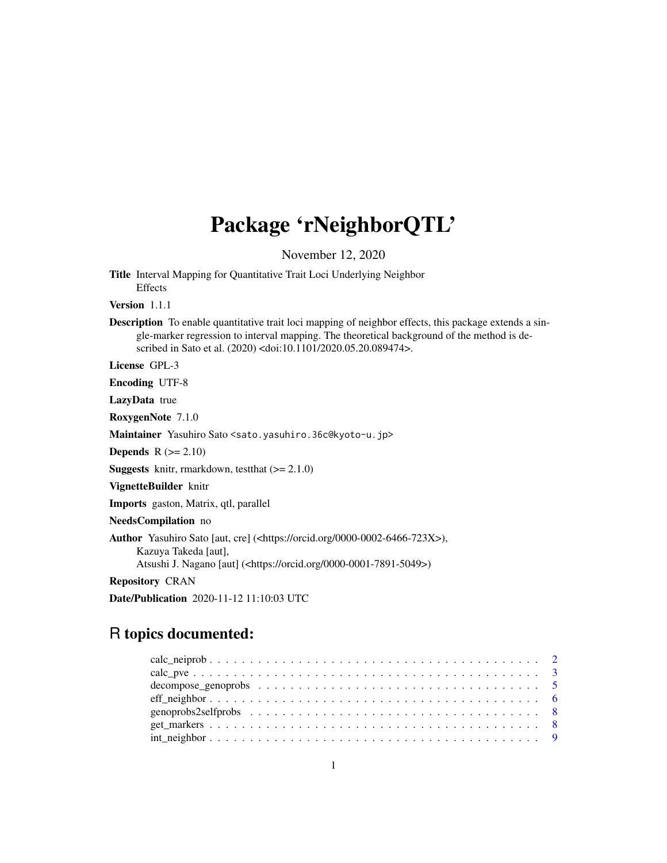# Package 'rNeighborQTL'

November 12, 2020

Title Interval Mapping for Quantitative Trait Loci Underlying Neighbor Effects

Version 1.1.1

Description To enable quantitative trait loci mapping of neighbor effects, this package extends a single-marker regression to interval mapping. The theoretical background of the method is described in Sato et al. (2020) <doi:10.1101/2020.05.20.089474>.

License GPL-3

Encoding UTF-8

LazyData true

RoxygenNote 7.1.0

Maintainer Yasuhiro Sato <sato.yasuhiro.36c@kyoto-u.jp>

Depends  $R$  ( $>= 2.10$ )

**Suggests** knitr, rmarkdown, test that  $(>= 2.1.0)$ 

VignetteBuilder knitr

Imports gaston, Matrix, qtl, parallel

NeedsCompilation no

Author Yasuhiro Sato [aut, cre] (<https://orcid.org/0000-0002-6466-723X>), Kazuya Takeda [aut],

Atsushi J. Nagano [aut] (<https://orcid.org/0000-0001-7891-5049>)

Repository CRAN

Date/Publication 2020-11-12 11:10:03 UTC

# R topics documented: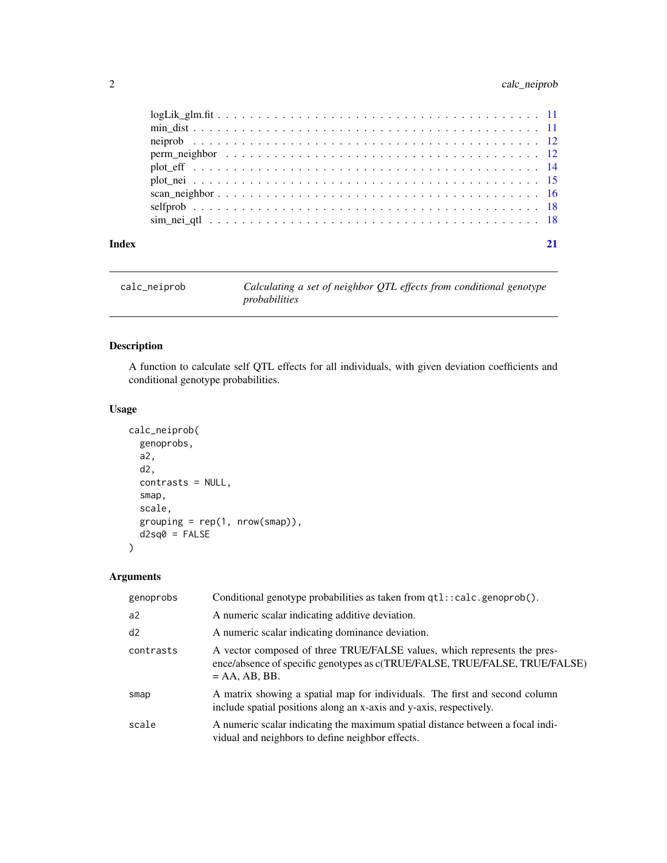# <span id="page-1-0"></span>2 calc\_neiprob

| Index |  |
|-------|--|
|       |  |
|       |  |
|       |  |
|       |  |
|       |  |
|       |  |
|       |  |
|       |  |
|       |  |

calc\_neiprob *Calculating a set of neighbor QTL effects from conditional genotype probabilities*

# Description

A function to calculate self QTL effects for all individuals, with given deviation coefficients and conditional genotype probabilities.

# Usage

```
calc_neiprob(
  genoprobs,
  a2,
  d2,
  contrasts = NULL,
  smap,
  scale,
  grouping = rep(1, nrow(smap)),d2sq0 = FALSE\mathcal{E}
```

| genoprobs      | Conditional genotype probabilities as taken from qtl::calc.genoprob().                                                                                                     |
|----------------|----------------------------------------------------------------------------------------------------------------------------------------------------------------------------|
| a <sup>2</sup> | A numeric scalar indicating additive deviation.                                                                                                                            |
| d2             | A numeric scalar indicating dominance deviation.                                                                                                                           |
| contrasts      | A vector composed of three TRUE/FALSE values, which represents the pres-<br>ence/absence of specific genotypes as c(TRUE/FALSE, TRUE/FALSE, TRUE/FALSE)<br>$= AA, AB, BB.$ |
| smap           | A matrix showing a spatial map for individuals. The first and second column<br>include spatial positions along an x-axis and y-axis, respectively.                         |
| scale          | A numeric scalar indicating the maximum spatial distance between a focal indi-<br>vidual and neighbors to define neighbor effects.                                         |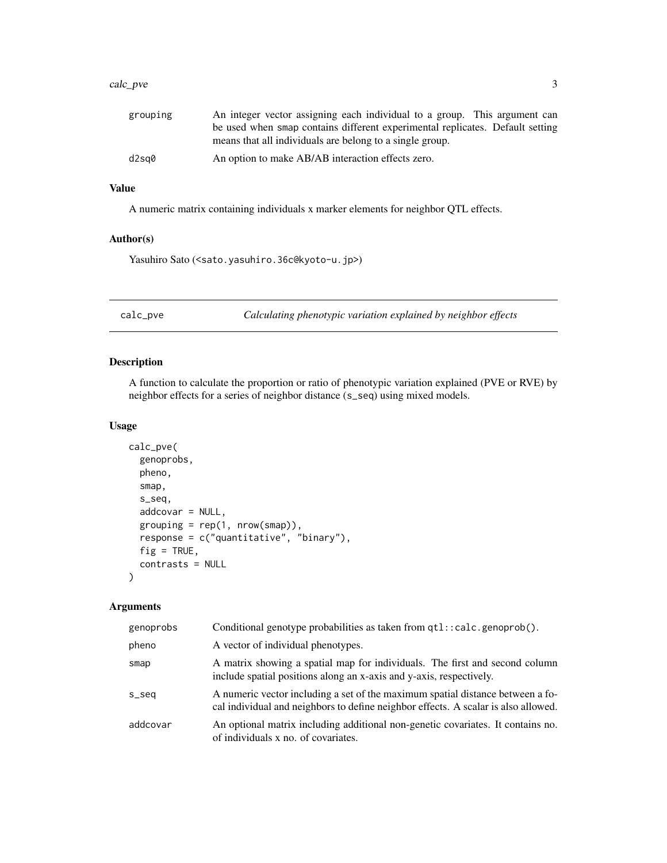#### <span id="page-2-0"></span>calc\_pve 3

| grouping | An integer vector assigning each individual to a group. This argument can     |
|----------|-------------------------------------------------------------------------------|
|          | be used when smap contains different experimental replicates. Default setting |
|          | means that all individuals are belong to a single group.                      |
| d2sa0    | An option to make AB/AB interaction effects zero.                             |

#### Value

A numeric matrix containing individuals x marker elements for neighbor QTL effects.

# Author(s)

Yasuhiro Sato (<sato.yasuhiro.36c@kyoto-u.jp>)

calc\_pve *Calculating phenotypic variation explained by neighbor effects*

#### Description

A function to calculate the proportion or ratio of phenotypic variation explained (PVE or RVE) by neighbor effects for a series of neighbor distance (s\_seq) using mixed models.

#### Usage

```
calc_pve(
  genoprobs,
 pheno,
  smap,
  s_seq,
  addcovar = NULL,
  grouping = rep(1, nrow(smap)),response = c("quantitative", "binary"),
  fig = TRUE,contrasts = NULL
)
```

| genoprobs | Conditional genotype probabilities as taken from qtl::calc.genoprob().                                                                                               |
|-----------|----------------------------------------------------------------------------------------------------------------------------------------------------------------------|
| pheno     | A vector of individual phenotypes.                                                                                                                                   |
| smap      | A matrix showing a spatial map for individuals. The first and second column<br>include spatial positions along an x-axis and y-axis, respectively.                   |
| s_seq     | A numeric vector including a set of the maximum spatial distance between a fo-<br>cal individual and neighbors to define neighbor effects. A scalar is also allowed. |
| addcovar  | An optional matrix including additional non-genetic covariates. It contains no.<br>of individuals x no. of covariates.                                               |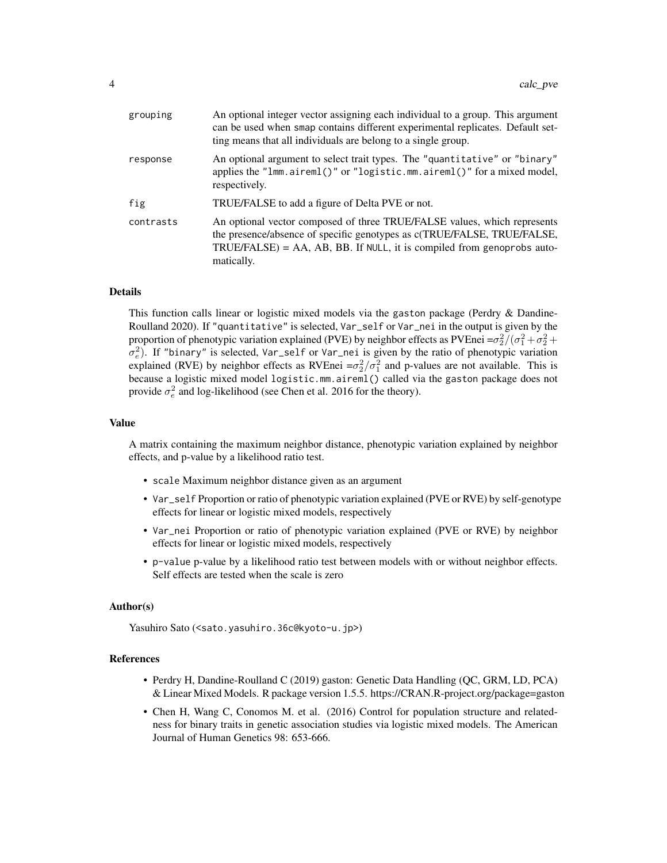| grouping  | An optional integer vector assigning each individual to a group. This argument<br>can be used when smap contains different experimental replicates. Default set-<br>ting means that all individuals are belong to a single group.              |
|-----------|------------------------------------------------------------------------------------------------------------------------------------------------------------------------------------------------------------------------------------------------|
| response  | An optional argument to select trait types. The "quantitative" or "binary"<br>applies the "lmm.aireml()" or "logistic.mm.aireml()" for a mixed model,<br>respectively.                                                                         |
| fig       | TRUE/FALSE to add a figure of Delta PVE or not.                                                                                                                                                                                                |
| contrasts | An optional vector composed of three TRUE/FALSE values, which represents<br>the presence/absence of specific genotypes as c(TRUE/FALSE, TRUE/FALSE,<br>$TRUE/FALSE$ ) = AA, AB, BB. If NULL, it is compiled from genoprobs auto-<br>matically. |

#### Details

This function calls linear or logistic mixed models via the gaston package (Perdry  $\&$  Dandine-Roulland 2020). If "quantitative" is selected, Var\_self or Var\_nei in the output is given by the proportion of phenotypic variation explained (PVE) by neighbor effects as PVEnei = $\sigma_2^2/(\sigma_1^2+\sigma_2^2+\sigma_3^2)$  $\sigma_e^2$ ). If "binary" is selected, Var\_self or Var\_nei is given by the ratio of phenotypic variation explained (RVE) by neighbor effects as RVEnei  $=\sigma_2^2/\sigma_1^2$  and p-values are not available. This is because a logistic mixed model logistic.mm.aireml() called via the gaston package does not provide  $\sigma_e^2$  and log-likelihood (see Chen et al. 2016 for the theory).

#### Value

A matrix containing the maximum neighbor distance, phenotypic variation explained by neighbor effects, and p-value by a likelihood ratio test.

- scale Maximum neighbor distance given as an argument
- Var\_self Proportion or ratio of phenotypic variation explained (PVE or RVE) by self-genotype effects for linear or logistic mixed models, respectively
- Var\_nei Proportion or ratio of phenotypic variation explained (PVE or RVE) by neighbor effects for linear or logistic mixed models, respectively
- p-value p-value by a likelihood ratio test between models with or without neighbor effects. Self effects are tested when the scale is zero

#### Author(s)

Yasuhiro Sato (<sato.yasuhiro.36c@kyoto-u.jp>)

#### References

- Perdry H, Dandine-Roulland C (2019) gaston: Genetic Data Handling (QC, GRM, LD, PCA) & Linear Mixed Models. R package version 1.5.5. https://CRAN.R-project.org/package=gaston
- Chen H, Wang C, Conomos M. et al. (2016) Control for population structure and relatedness for binary traits in genetic association studies via logistic mixed models. The American Journal of Human Genetics 98: 653-666.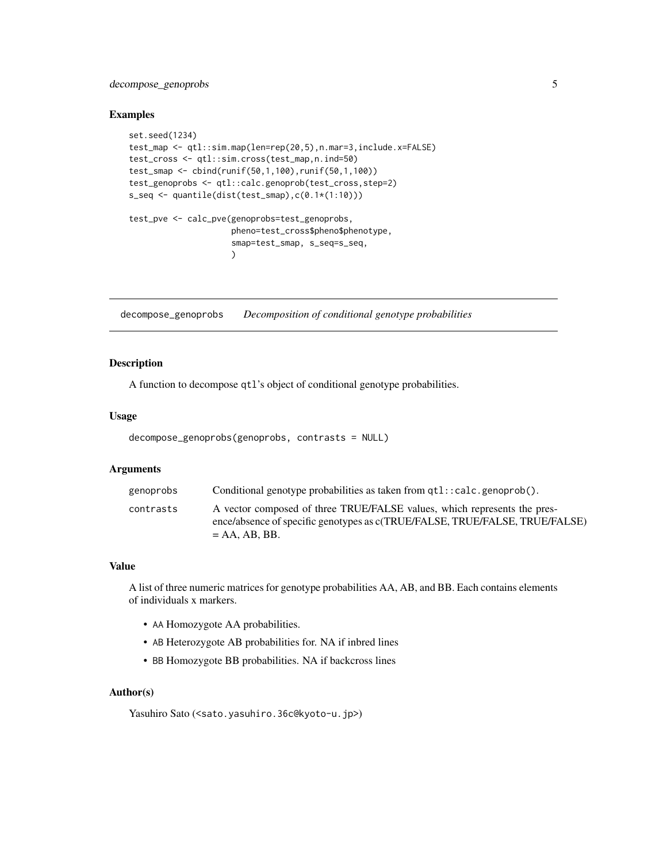# <span id="page-4-0"></span>decompose\_genoprobs 5

#### Examples

```
set.seed(1234)
test_map <- qtl::sim.map(len=rep(20,5),n.mar=3,include.x=FALSE)
test_cross <- qtl::sim.cross(test_map,n.ind=50)
test_smap <- cbind(runif(50,1,100),runif(50,1,100))
test_genoprobs <- qtl::calc.genoprob(test_cross,step=2)
s_seq <- quantile(dist(test_smap),c(0.1*(1:10)))
test_pve <- calc_pve(genoprobs=test_genoprobs,
                     pheno=test_cross$pheno$phenotype,
                     smap=test_smap, s_seq=s_seq,
                     \mathcal{L}
```
decompose\_genoprobs *Decomposition of conditional genotype probabilities*

### Description

A function to decompose qtl's object of conditional genotype probabilities.

#### Usage

```
decompose_genoprobs(genoprobs, contrasts = NULL)
```
#### Arguments

| genoprobs | Conditional genotype probabilities as taken from $qtl$ : calc.genoprob().                                                                                                  |
|-----------|----------------------------------------------------------------------------------------------------------------------------------------------------------------------------|
| contrasts | A vector composed of three TRUE/FALSE values, which represents the pres-<br>ence/absence of specific genotypes as c(TRUE/FALSE, TRUE/FALSE, TRUE/FALSE)<br>$= AA, AB, BB.$ |

#### Value

A list of three numeric matrices for genotype probabilities AA, AB, and BB. Each contains elements of individuals x markers.

- AA Homozygote AA probabilities.
- AB Heterozygote AB probabilities for. NA if inbred lines
- BB Homozygote BB probabilities. NA if backcross lines

#### Author(s)

Yasuhiro Sato (<sato.yasuhiro.36c@kyoto-u.jp>)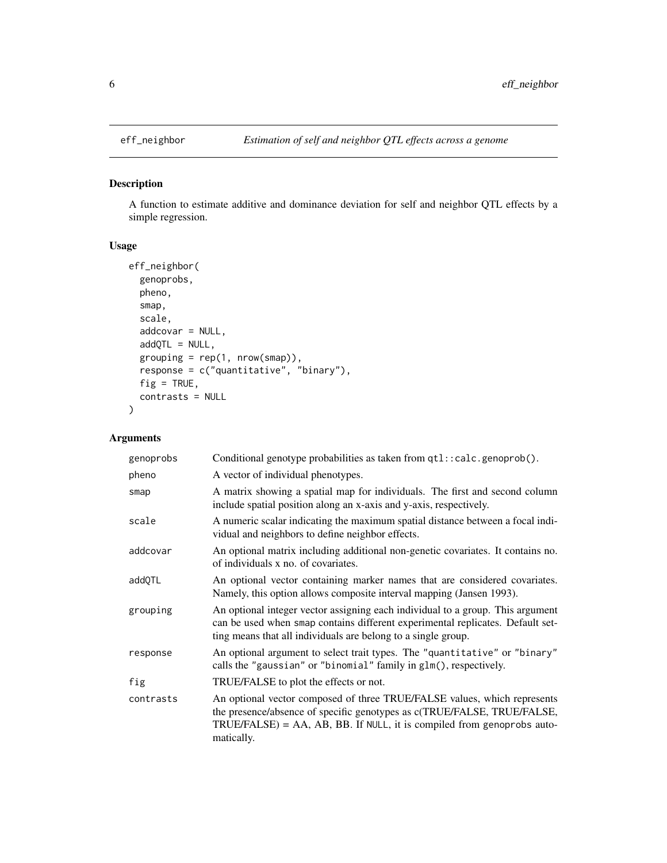<span id="page-5-1"></span><span id="page-5-0"></span>

### Description

A function to estimate additive and dominance deviation for self and neighbor QTL effects by a simple regression.

# Usage

```
eff_neighbor(
  genoprobs,
 pheno,
  smap,
  scale,
  addcovar = NULL,
  addQTL = NULL,grouping = rep(1, nrow(smap)),response = c("quantitative", "binary"),
  fig = TRUE,contrasts = NULL
\mathcal{L}
```

| genoprobs | Conditional genotype probabilities as taken from qtl::calc.genoprob().                                                                                                                                                                         |
|-----------|------------------------------------------------------------------------------------------------------------------------------------------------------------------------------------------------------------------------------------------------|
| pheno     | A vector of individual phenotypes.                                                                                                                                                                                                             |
| smap      | A matrix showing a spatial map for individuals. The first and second column<br>include spatial position along an x-axis and y-axis, respectively.                                                                                              |
| scale     | A numeric scalar indicating the maximum spatial distance between a focal indi-<br>vidual and neighbors to define neighbor effects.                                                                                                             |
| addcovar  | An optional matrix including additional non-genetic covariates. It contains no.<br>of individuals x no. of covariates.                                                                                                                         |
| addQTL    | An optional vector containing marker names that are considered covariates.<br>Namely, this option allows composite interval mapping (Jansen 1993).                                                                                             |
| grouping  | An optional integer vector assigning each individual to a group. This argument<br>can be used when smap contains different experimental replicates. Default set-<br>ting means that all individuals are belong to a single group.              |
| response  | An optional argument to select trait types. The "quantitative" or "binary"<br>calls the "gaussian" or "binomial" family in glm(), respectively.                                                                                                |
| fig       | TRUE/FALSE to plot the effects or not.                                                                                                                                                                                                         |
| contrasts | An optional vector composed of three TRUE/FALSE values, which represents<br>the presence/absence of specific genotypes as c(TRUE/FALSE, TRUE/FALSE,<br>$TRUE/FALSE$ ) = AA, AB, BB. If NULL, it is compiled from genoprobs auto-<br>matically. |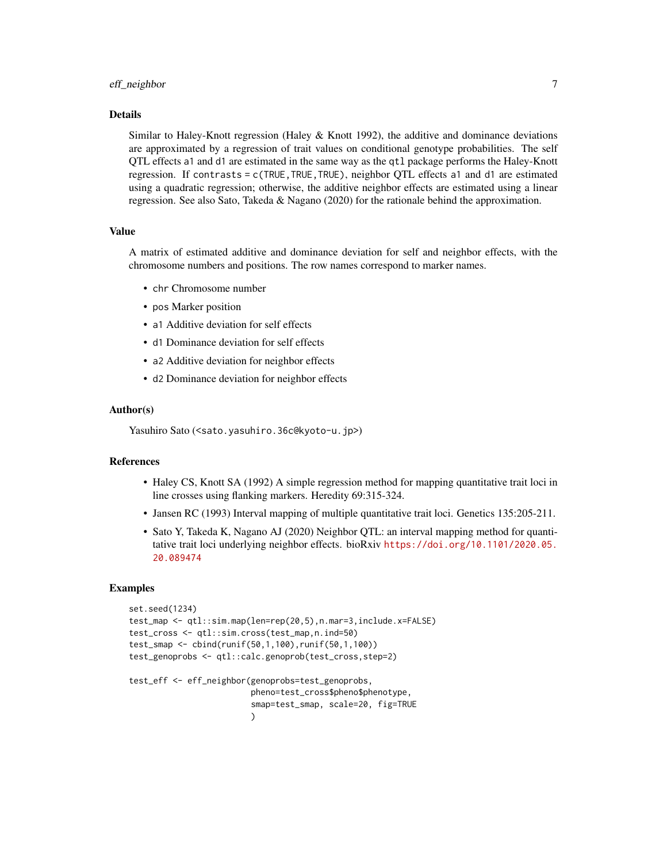#### eff\_neighbor 7

#### Details

Similar to Haley-Knott regression (Haley & Knott 1992), the additive and dominance deviations are approximated by a regression of trait values on conditional genotype probabilities. The self QTL effects a1 and d1 are estimated in the same way as the qtl package performs the Haley-Knott regression. If contrasts = c(TRUE,TRUE,TRUE), neighbor QTL effects a1 and d1 are estimated using a quadratic regression; otherwise, the additive neighbor effects are estimated using a linear regression. See also Sato, Takeda & Nagano (2020) for the rationale behind the approximation.

#### Value

A matrix of estimated additive and dominance deviation for self and neighbor effects, with the chromosome numbers and positions. The row names correspond to marker names.

- chr Chromosome number
- pos Marker position
- a1 Additive deviation for self effects
- d1 Dominance deviation for self effects
- a2 Additive deviation for neighbor effects
- d2 Dominance deviation for neighbor effects

#### Author(s)

Yasuhiro Sato (<sato.yasuhiro.36c@kyoto-u.jp>)

#### References

- Haley CS, Knott SA (1992) A simple regression method for mapping quantitative trait loci in line crosses using flanking markers. Heredity 69:315-324.
- Jansen RC (1993) Interval mapping of multiple quantitative trait loci. Genetics 135:205-211.
- Sato Y, Takeda K, Nagano AJ (2020) Neighbor QTL: an interval mapping method for quantitative trait loci underlying neighbor effects. bioRxiv [https://doi.org/10.1101/2020.05.](https://doi.org/10.1101/2020.05.20.089474) [20.089474](https://doi.org/10.1101/2020.05.20.089474)

#### Examples

```
set.seed(1234)
test_map <- qtl::sim.map(len=rep(20,5),n.mar=3,include.x=FALSE)
test_cross <- qtl::sim.cross(test_map,n.ind=50)
test_smap <- cbind(runif(50,1,100),runif(50,1,100))
test_genoprobs <- qtl::calc.genoprob(test_cross,step=2)
test_eff <- eff_neighbor(genoprobs=test_genoprobs,
                         pheno=test_cross$pheno$phenotype,
                         smap=test_smap, scale=20, fig=TRUE
                         )
```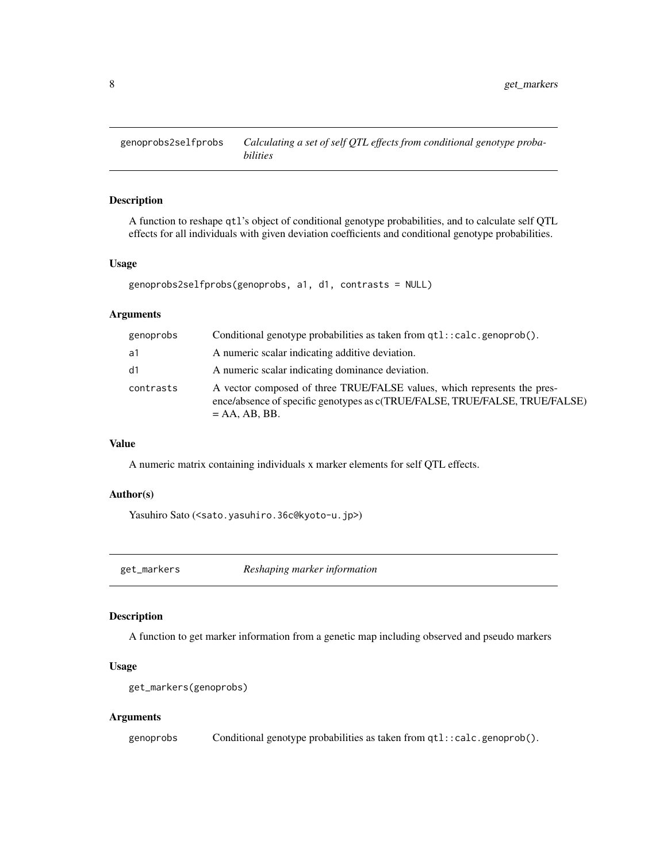<span id="page-7-0"></span>genoprobs2selfprobs *Calculating a set of self QTL effects from conditional genotype probabilities*

#### Description

A function to reshape qtl's object of conditional genotype probabilities, and to calculate self QTL effects for all individuals with given deviation coefficients and conditional genotype probabilities.

#### Usage

```
genoprobs2selfprobs(genoprobs, a1, d1, contrasts = NULL)
```
# Arguments

| genoprobs | Conditional genotype probabilities as taken from qtl::calc.genoprob().                                                                                                     |
|-----------|----------------------------------------------------------------------------------------------------------------------------------------------------------------------------|
| a1        | A numeric scalar indicating additive deviation.                                                                                                                            |
| d1        | A numeric scalar indicating dominance deviation.                                                                                                                           |
| contrasts | A vector composed of three TRUE/FALSE values, which represents the pres-<br>ence/absence of specific genotypes as c(TRUE/FALSE, TRUE/FALSE, TRUE/FALSE)<br>$= AA, AB, BB.$ |

# Value

A numeric matrix containing individuals x marker elements for self QTL effects.

#### Author(s)

Yasuhiro Sato (<sato.yasuhiro.36c@kyoto-u.jp>)

get\_markers *Reshaping marker information*

#### Description

A function to get marker information from a genetic map including observed and pseudo markers

#### Usage

```
get_markers(genoprobs)
```
#### Arguments

genoprobs Conditional genotype probabilities as taken from qtl::calc.genoprob().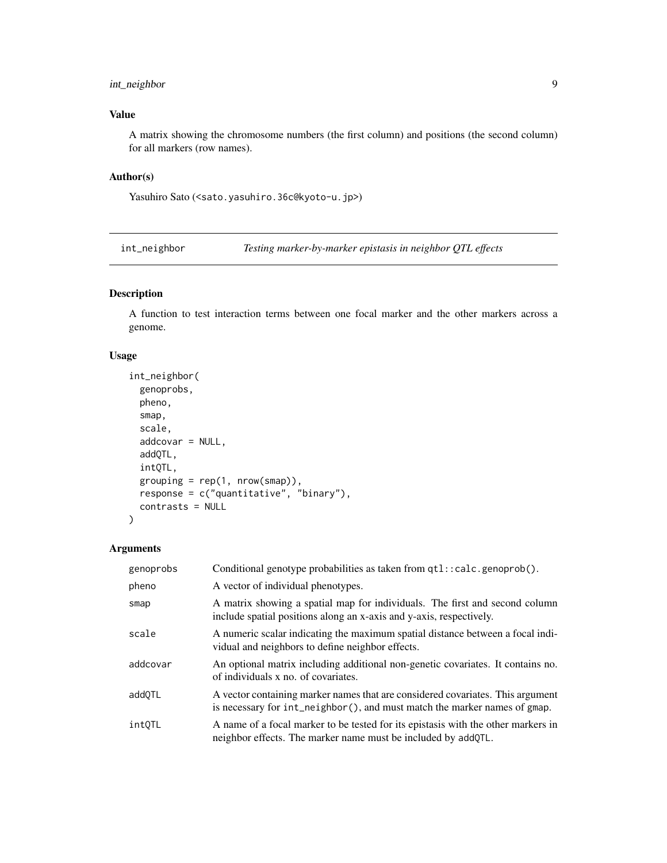# <span id="page-8-0"></span>int\_neighbor 9

# Value

A matrix showing the chromosome numbers (the first column) and positions (the second column) for all markers (row names).

### Author(s)

Yasuhiro Sato (<sato.yasuhiro.36c@kyoto-u.jp>)

<span id="page-8-1"></span>int\_neighbor *Testing marker-by-marker epistasis in neighbor QTL effects*

# Description

A function to test interaction terms between one focal marker and the other markers across a genome.

### Usage

```
int_neighbor(
  genoprobs,
 pheno,
  smap,
  scale,
  addcovar = NULL,
  addQTL,
  intQTL,
 grouping = rep(1, nrow(smap)),response = c("quantitative", "binary"),
  contrasts = NULL
)
```

| genoprobs | Conditional genotype probabilities as taken from qtl::calc.genoprob().                                                                                      |
|-----------|-------------------------------------------------------------------------------------------------------------------------------------------------------------|
| pheno     | A vector of individual phenotypes.                                                                                                                          |
| smap      | A matrix showing a spatial map for individuals. The first and second column<br>include spatial positions along an x-axis and y-axis, respectively.          |
| scale     | A numeric scalar indicating the maximum spatial distance between a focal indi-<br>vidual and neighbors to define neighbor effects.                          |
| addcovar  | An optional matrix including additional non-genetic covariates. It contains no.<br>of individuals x no. of covariates.                                      |
| addOTL    | A vector containing marker names that are considered covariates. This argument<br>is necessary for int_neighbor(), and must match the marker names of gmap. |
| intOTL    | A name of a focal marker to be tested for its epistasis with the other markers in<br>neighbor effects. The marker name must be included by addQTL.          |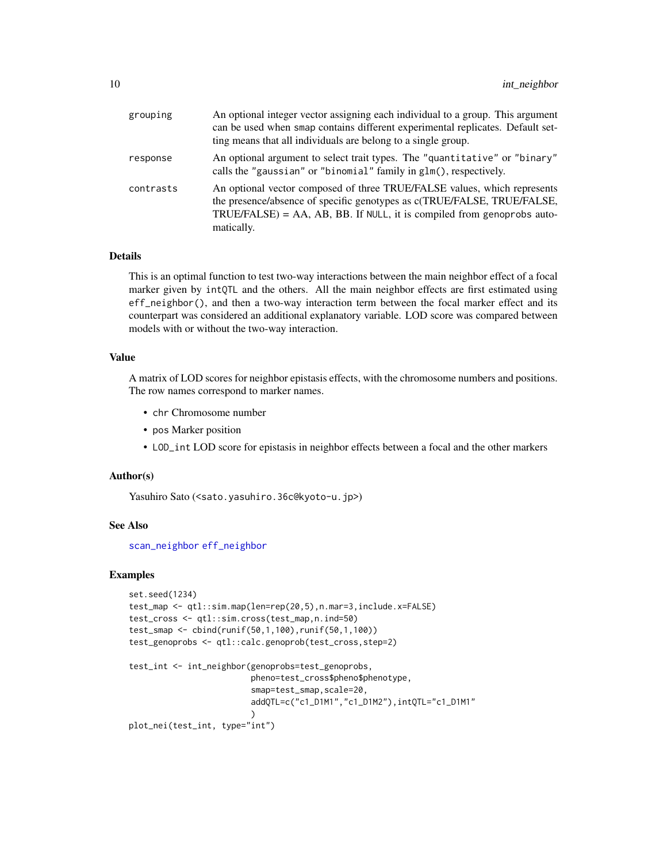<span id="page-9-0"></span>

| grouping  | An optional integer vector assigning each individual to a group. This argument<br>can be used when smap contains different experimental replicates. Default set-<br>ting means that all individuals are belong to a single group.              |
|-----------|------------------------------------------------------------------------------------------------------------------------------------------------------------------------------------------------------------------------------------------------|
| response  | An optional argument to select trait types. The "quantitative" or "binary"<br>calls the "gaussian" or "binomial" family in glm(), respectively.                                                                                                |
| contrasts | An optional vector composed of three TRUE/FALSE values, which represents<br>the presence/absence of specific genotypes as c(TRUE/FALSE, TRUE/FALSE,<br>$TRUE/FALSE$ ) = AA, AB, BB. If NULL, it is compiled from genoprobs auto-<br>matically. |

#### Details

This is an optimal function to test two-way interactions between the main neighbor effect of a focal marker given by intQTL and the others. All the main neighbor effects are first estimated using eff\_neighbor(), and then a two-way interaction term between the focal marker effect and its counterpart was considered an additional explanatory variable. LOD score was compared between models with or without the two-way interaction.

#### Value

A matrix of LOD scores for neighbor epistasis effects, with the chromosome numbers and positions. The row names correspond to marker names.

- chr Chromosome number
- pos Marker position
- LOD\_int LOD score for epistasis in neighbor effects between a focal and the other markers

#### Author(s)

Yasuhiro Sato (<sato.yasuhiro.36c@kyoto-u.jp>)

#### See Also

[scan\\_neighbor](#page-15-1) [eff\\_neighbor](#page-5-1)

#### Examples

```
set.seed(1234)
test_map <- qtl::sim.map(len=rep(20,5),n.mar=3,include.x=FALSE)
test_cross <- qtl::sim.cross(test_map,n.ind=50)
test_smap <- cbind(runif(50,1,100),runif(50,1,100))
test_genoprobs <- qtl::calc.genoprob(test_cross,step=2)
test_int <- int_neighbor(genoprobs=test_genoprobs,
                         pheno=test_cross$pheno$phenotype,
                         smap=test_smap, scale=20,
                         addQTL=c("c1_D1M1","c1_D1M2"),intQTL="c1_D1M1"
                         )
plot_nei(test_int, type="int")
```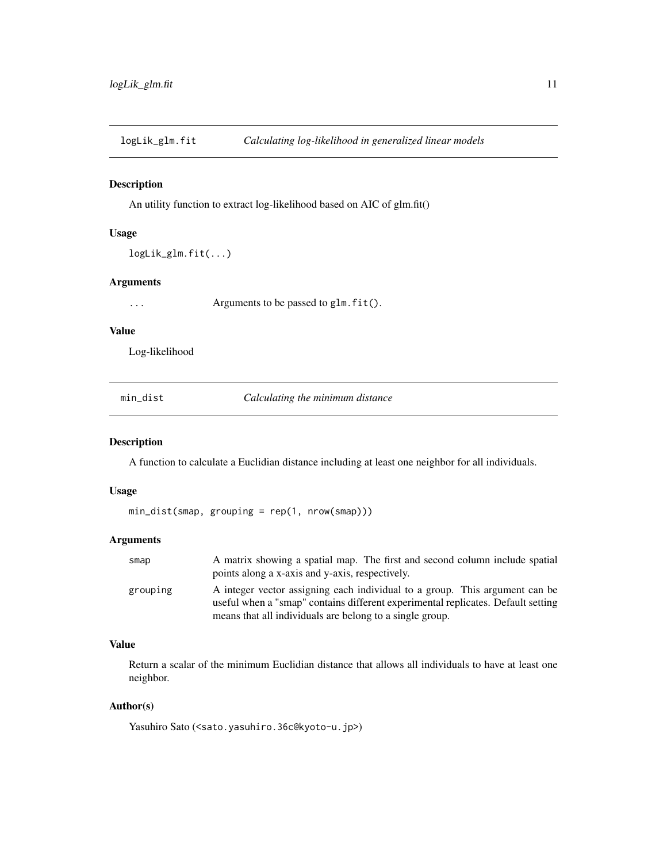<span id="page-10-0"></span>logLik\_glm.fit *Calculating log-likelihood in generalized linear models*

#### Description

An utility function to extract log-likelihood based on AIC of glm.fit()

# Usage

```
logLik_glm.fit(...)
```
#### Arguments

... Arguments to be passed to glm.fit().

#### Value

Log-likelihood

| mın | dist |
|-----|------|
|     |      |

**Calculating the minimum distance** 

# Description

A function to calculate a Euclidian distance including at least one neighbor for all individuals.

### Usage

min\_dist(smap, grouping = rep(1, nrow(smap)))

#### Arguments

| smap     | A matrix showing a spatial map. The first and second column include spatial      |
|----------|----------------------------------------------------------------------------------|
|          | points along a x-axis and y-axis, respectively.                                  |
| grouping | A integer vector assigning each individual to a group. This argument can be      |
|          | useful when a "smap" contains different experimental replicates. Default setting |
|          | means that all individuals are belong to a single group.                         |

#### Value

Return a scalar of the minimum Euclidian distance that allows all individuals to have at least one neighbor.

#### Author(s)

Yasuhiro Sato (<sato.yasuhiro.36c@kyoto-u.jp>)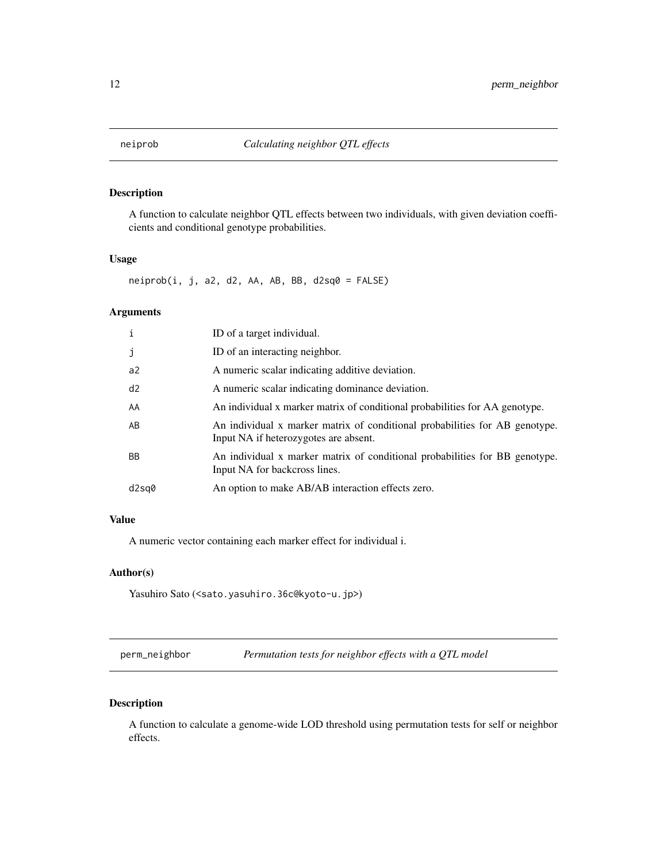<span id="page-11-0"></span>

#### Description

A function to calculate neighbor QTL effects between two individuals, with given deviation coefficients and conditional genotype probabilities.

#### Usage

 $neiprob(i, j, a2, d2, AA, AB, BB, d2sq0 = FALSE)$ 

#### Arguments

| i         | ID of a target individual.                                                                                           |
|-----------|----------------------------------------------------------------------------------------------------------------------|
| j         | ID of an interacting neighbor.                                                                                       |
| a2        | A numeric scalar indicating additive deviation.                                                                      |
| d2        | A numeric scalar indicating dominance deviation.                                                                     |
| AA        | An individual x marker matrix of conditional probabilities for AA genotype.                                          |
| AB        | An individual x marker matrix of conditional probabilities for AB genotype.<br>Input NA if heterozygotes are absent. |
| <b>BB</b> | An individual x marker matrix of conditional probabilities for BB genotype.<br>Input NA for backcross lines.         |
| d2sq0     | An option to make AB/AB interaction effects zero.                                                                    |

# Value

A numeric vector containing each marker effect for individual i.

### Author(s)

Yasuhiro Sato (<sato.yasuhiro.36c@kyoto-u.jp>)

<span id="page-11-1"></span>perm\_neighbor *Permutation tests for neighbor effects with a QTL model*

#### Description

A function to calculate a genome-wide LOD threshold using permutation tests for self or neighbor effects.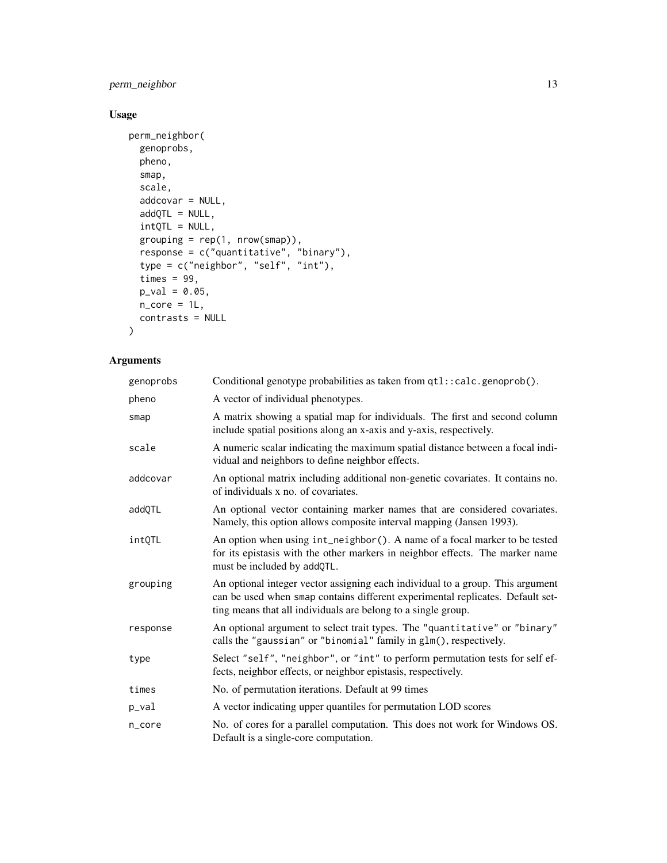# perm\_neighbor 13

# Usage

```
perm_neighbor(
  genoprobs,
  pheno,
  smap,
  scale,
  addcovar = NULL,addQTL = NULL,intQTL = NULL,grouping = rep(1, nrow(smap)),response = c("quantitative", "binary"),
  type = c("neighbor", "self", "int"),
  times = 99,
  p_{val} = 0.05,
  n_core = 1L,
  contrasts = NULL
\mathcal{L}
```

| genoprobs | Conditional genotype probabilities as taken from qtl::calc.genoprob().                                                                                                                                                            |
|-----------|-----------------------------------------------------------------------------------------------------------------------------------------------------------------------------------------------------------------------------------|
| pheno     | A vector of individual phenotypes.                                                                                                                                                                                                |
| smap      | A matrix showing a spatial map for individuals. The first and second column<br>include spatial positions along an x-axis and y-axis, respectively.                                                                                |
| scale     | A numeric scalar indicating the maximum spatial distance between a focal indi-<br>vidual and neighbors to define neighbor effects.                                                                                                |
| addcovar  | An optional matrix including additional non-genetic covariates. It contains no.<br>of individuals x no. of covariates.                                                                                                            |
| addQTL    | An optional vector containing marker names that are considered covariates.<br>Namely, this option allows composite interval mapping (Jansen 1993).                                                                                |
| intQTL    | An option when using int_neighbor(). A name of a focal marker to be tested<br>for its epistasis with the other markers in neighbor effects. The marker name<br>must be included by addQTL.                                        |
| grouping  | An optional integer vector assigning each individual to a group. This argument<br>can be used when smap contains different experimental replicates. Default set-<br>ting means that all individuals are belong to a single group. |
| response  | An optional argument to select trait types. The "quantitative" or "binary"<br>calls the "gaussian" or "binomial" family in glm(), respectively.                                                                                   |
| type      | Select "self", "neighbor", or "int" to perform permutation tests for self ef-<br>fects, neighbor effects, or neighbor epistasis, respectively.                                                                                    |
| times     | No. of permutation iterations. Default at 99 times                                                                                                                                                                                |
| p_val     | A vector indicating upper quantiles for permutation LOD scores                                                                                                                                                                    |
| n_core    | No. of cores for a parallel computation. This does not work for Windows OS.<br>Default is a single-core computation.                                                                                                              |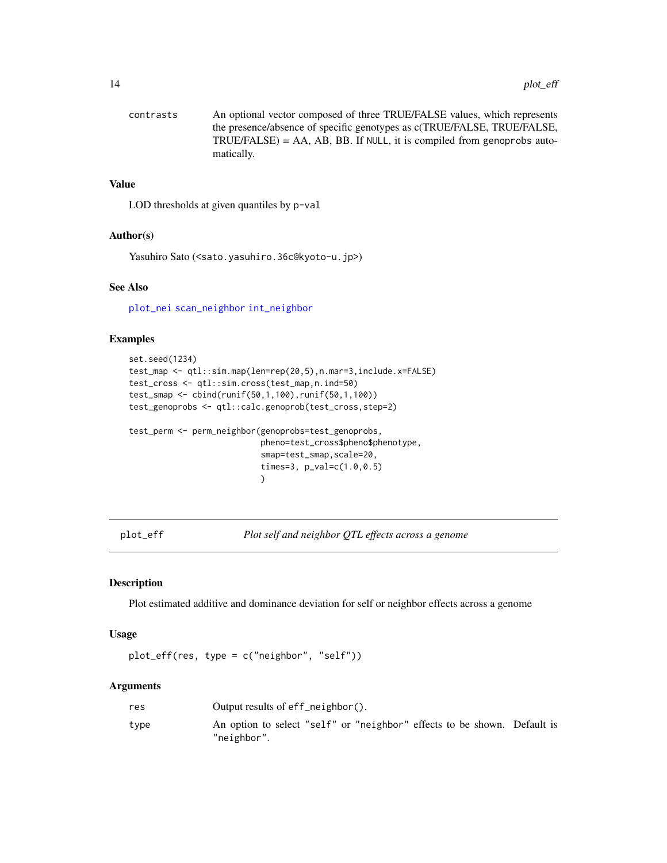```
contrasts An optional vector composed of three TRUE/FALSE values, which represents
                 the presence/absence of specific genotypes as c(TRUE/FALSE, TRUE/FALSE,
                TRUE/FALSE) = AA, AB, BB. If NULL, it is compiled from genoprobs auto-
                 matically.
```
#### Value

LOD thresholds at given quantiles by p-val

#### Author(s)

Yasuhiro Sato (<sato.yasuhiro.36c@kyoto-u.jp>)

#### See Also

[plot\\_nei](#page-14-1) [scan\\_neighbor](#page-15-1) [int\\_neighbor](#page-8-1)

#### Examples

```
set.seed(1234)
test_map <- qtl::sim.map(len=rep(20,5),n.mar=3,include.x=FALSE)
test_cross <- qtl::sim.cross(test_map,n.ind=50)
test_smap <- cbind(runif(50,1,100),runif(50,1,100))
test_genoprobs <- qtl::calc.genoprob(test_cross,step=2)
test_perm <- perm_neighbor(genoprobs=test_genoprobs,
                           pheno=test_cross$pheno$phenotype,
                           smap=test_smap, scale=20,
                           times=3, p_val=c(1.0,0.5)
                           )
```
plot\_eff *Plot self and neighbor QTL effects across a genome*

#### Description

Plot estimated additive and dominance deviation for self or neighbor effects across a genome

#### Usage

plot\_eff(res, type = c("neighbor", "self"))

| res  | Output results of $eff$ neighbor().                                                     |
|------|-----------------------------------------------------------------------------------------|
| type | An option to select "self" or "neighbor" effects to be shown. Default is<br>"neighbor". |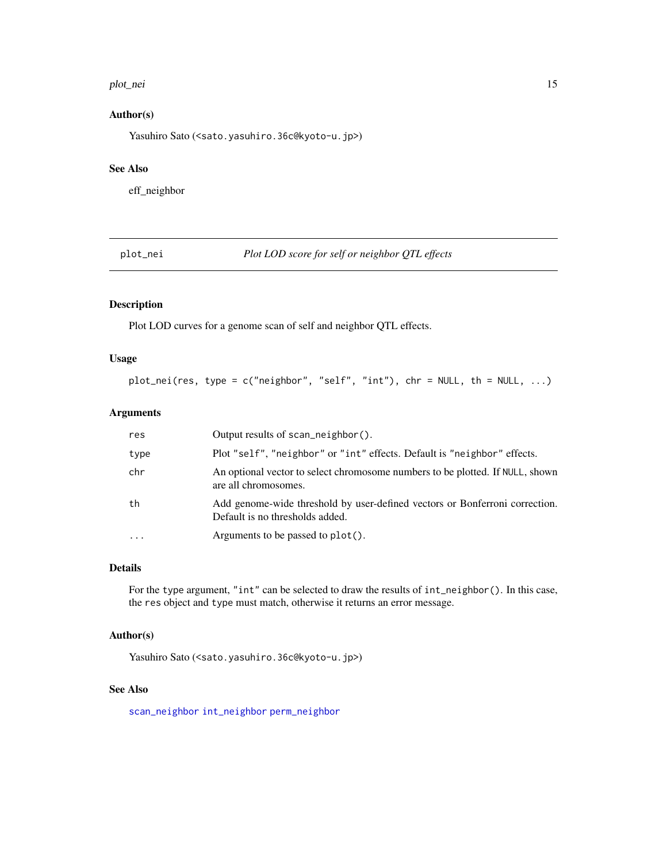#### <span id="page-14-0"></span>plot\_nei 15

# Author(s)

Yasuhiro Sato (<sato.yasuhiro.36c@kyoto-u.jp>)

# See Also

eff\_neighbor

<span id="page-14-1"></span>plot\_nei *Plot LOD score for self or neighbor QTL effects*

# Description

Plot LOD curves for a genome scan of self and neighbor QTL effects.

#### Usage

```
plot_nei(res, type = c("neighbor", "self", "int"), chr = NULL, th = NULL, ...)
```
# Arguments

| res  | Output results of scan_neighbor().                                                                             |
|------|----------------------------------------------------------------------------------------------------------------|
| type | Plot "self", "neighbor" or "int" effects. Default is "neighbor" effects.                                       |
| chr  | An optional vector to select chromosome numbers to be plotted. If NULL, shown<br>are all chromosomes.          |
| th   | Add genome-wide threshold by user-defined vectors or Bonferroni correction.<br>Default is no thresholds added. |
|      | Arguments to be passed to plot().                                                                              |

#### Details

For the type argument, "int" can be selected to draw the results of int\_neighbor(). In this case, the res object and type must match, otherwise it returns an error message.

#### Author(s)

Yasuhiro Sato (<sato.yasuhiro.36c@kyoto-u.jp>)

# See Also

[scan\\_neighbor](#page-15-1) [int\\_neighbor](#page-8-1) [perm\\_neighbor](#page-11-1)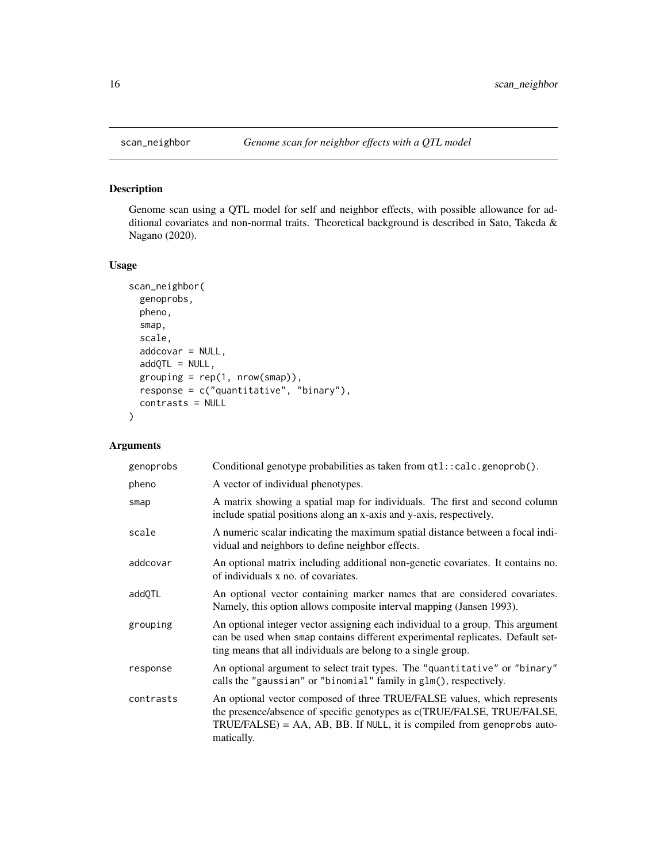<span id="page-15-1"></span><span id="page-15-0"></span>

# Description

Genome scan using a QTL model for self and neighbor effects, with possible allowance for additional covariates and non-normal traits. Theoretical background is described in Sato, Takeda & Nagano (2020).

#### Usage

```
scan_neighbor(
  genoprobs,
 pheno,
  smap,
  scale,
  addcovar = NULL,
  addQTL = NULL,grouping = rep(1, nrow(smap)),response = c("quantitative", "binary"),
 contrasts = NULL
)
```

| genoprobs | Conditional genotype probabilities as taken from qtl::calc.genoprob().                                                                                                                                                                         |
|-----------|------------------------------------------------------------------------------------------------------------------------------------------------------------------------------------------------------------------------------------------------|
| pheno     | A vector of individual phenotypes.                                                                                                                                                                                                             |
| smap      | A matrix showing a spatial map for individuals. The first and second column<br>include spatial positions along an x-axis and y-axis, respectively.                                                                                             |
| scale     | A numeric scalar indicating the maximum spatial distance between a focal indi-<br>vidual and neighbors to define neighbor effects.                                                                                                             |
| addcovar  | An optional matrix including additional non-genetic covariates. It contains no.<br>of individuals x no. of covariates.                                                                                                                         |
| addOTL    | An optional vector containing marker names that are considered covariates.<br>Namely, this option allows composite interval mapping (Jansen 1993).                                                                                             |
| grouping  | An optional integer vector assigning each individual to a group. This argument<br>can be used when smap contains different experimental replicates. Default set-<br>ting means that all individuals are belong to a single group.              |
| response  | An optional argument to select trait types. The "quantitative" or "binary"<br>calls the "gaussian" or "binomial" family in glm(), respectively.                                                                                                |
| contrasts | An optional vector composed of three TRUE/FALSE values, which represents<br>the presence/absence of specific genotypes as c(TRUE/FALSE, TRUE/FALSE,<br>$TRUE/FALSE$ ) = AA, AB, BB. If NULL, it is compiled from genoprobs auto-<br>matically. |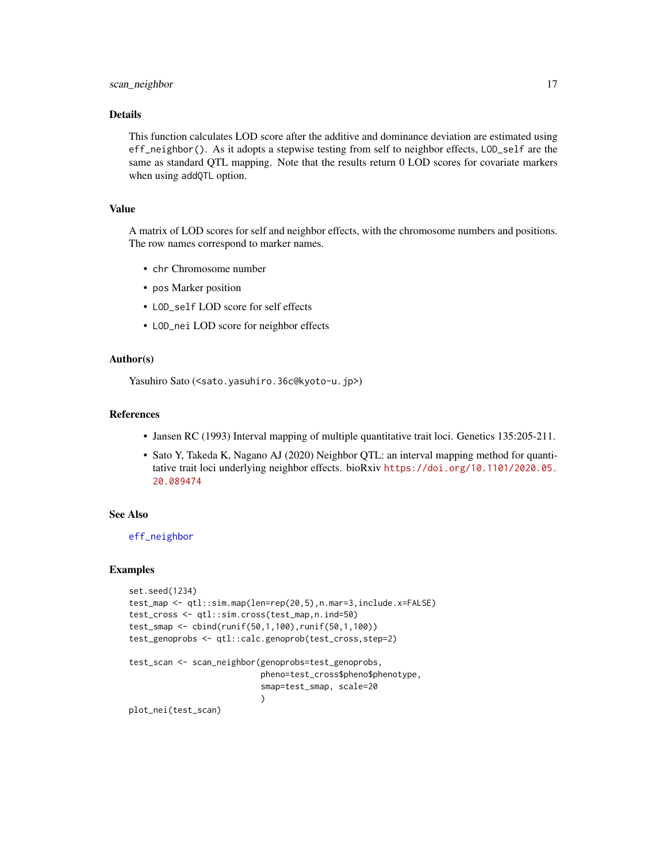# <span id="page-16-0"></span>scan\_neighbor 17

#### Details

This function calculates LOD score after the additive and dominance deviation are estimated using eff\_neighbor(). As it adopts a stepwise testing from self to neighbor effects, LOD\_self are the same as standard QTL mapping. Note that the results return 0 LOD scores for covariate markers when using addQTL option.

### Value

A matrix of LOD scores for self and neighbor effects, with the chromosome numbers and positions. The row names correspond to marker names.

- chr Chromosome number
- pos Marker position
- LOD\_self LOD score for self effects
- LOD\_nei LOD score for neighbor effects

#### Author(s)

Yasuhiro Sato (<sato.yasuhiro.36c@kyoto-u.jp>)

#### References

- Jansen RC (1993) Interval mapping of multiple quantitative trait loci. Genetics 135:205-211.
- Sato Y, Takeda K, Nagano AJ (2020) Neighbor QTL: an interval mapping method for quantitative trait loci underlying neighbor effects. bioRxiv [https://doi.org/10.1101/2020.05.](https://doi.org/10.1101/2020.05.20.089474) [20.089474](https://doi.org/10.1101/2020.05.20.089474)

#### See Also

[eff\\_neighbor](#page-5-1)

#### Examples

```
set.seed(1234)
test_map <- qtl::sim.map(len=rep(20,5),n.mar=3,include.x=FALSE)
test_cross <- qtl::sim.cross(test_map,n.ind=50)
test_smap <- cbind(runif(50,1,100),runif(50,1,100))
test_genoprobs <- qtl::calc.genoprob(test_cross,step=2)
test_scan <- scan_neighbor(genoprobs=test_genoprobs,
                           pheno=test_cross$pheno$phenotype,
                           smap=test_smap, scale=20
                           \lambdaplot_nei(test_scan)
```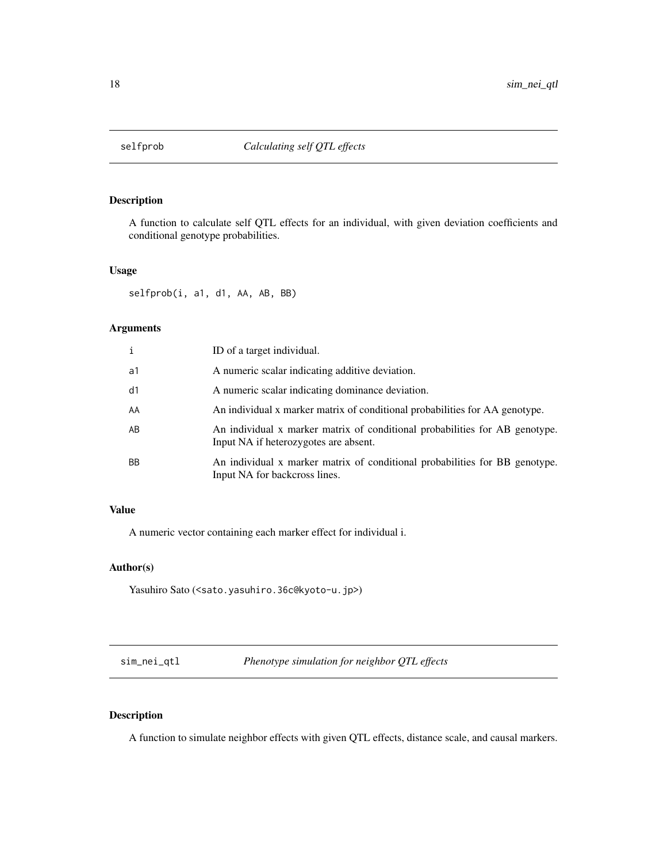<span id="page-17-0"></span>

#### Description

A function to calculate self QTL effects for an individual, with given deviation coefficients and conditional genotype probabilities.

#### Usage

selfprob(i, a1, d1, AA, AB, BB)

#### Arguments

| i  | ID of a target individual.                                                                                           |
|----|----------------------------------------------------------------------------------------------------------------------|
| a1 | A numeric scalar indicating additive deviation.                                                                      |
| d1 | A numeric scalar indicating dominance deviation.                                                                     |
| AA | An individual x marker matrix of conditional probabilities for AA genotype.                                          |
| AΒ | An individual x marker matrix of conditional probabilities for AB genotype.<br>Input NA if heterozygotes are absent. |
| ВB | An individual x marker matrix of conditional probabilities for BB genotype.<br>Input NA for backcross lines.         |

# Value

A numeric vector containing each marker effect for individual i.

# Author(s)

```
Yasuhiro Sato (<sato.yasuhiro.36c@kyoto-u.jp>)
```
sim\_nei\_qtl *Phenotype simulation for neighbor QTL effects*

# Description

A function to simulate neighbor effects with given QTL effects, distance scale, and causal markers.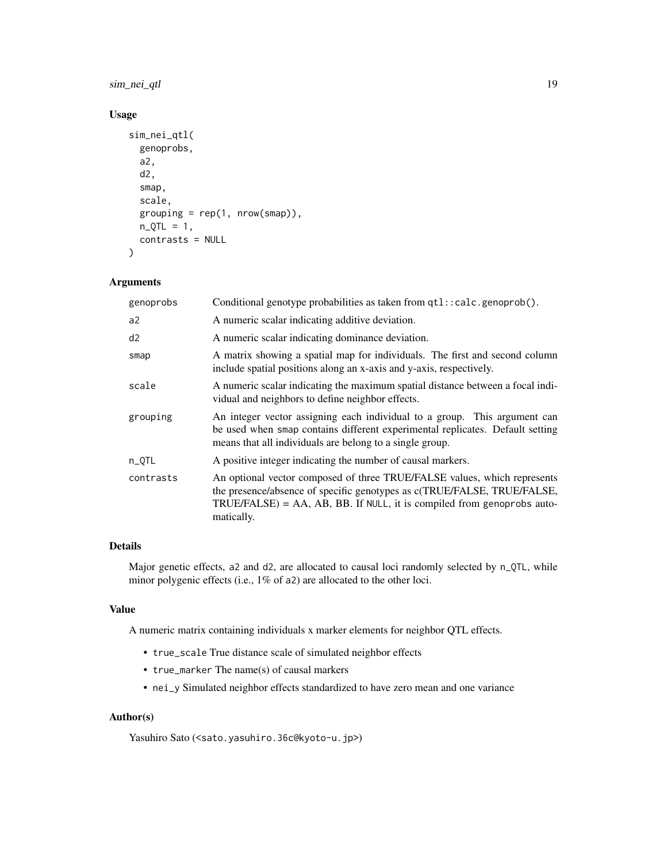# sim\_nei\_qtl 19

# Usage

```
sim_nei_qtl(
  genoprobs,
  a2,
  d2,
  smap,
  scale,
  grouping = rep(1, nrow(smap)),n_QTL = 1,
  contrasts = NULL
)
```
# Arguments

| genoprobs | Conditional genotype probabilities as taken from qtl::calc.genoprob().                                                                                                                                                                         |
|-----------|------------------------------------------------------------------------------------------------------------------------------------------------------------------------------------------------------------------------------------------------|
| a2        | A numeric scalar indicating additive deviation.                                                                                                                                                                                                |
| d2        | A numeric scalar indicating dominance deviation.                                                                                                                                                                                               |
| smap      | A matrix showing a spatial map for individuals. The first and second column<br>include spatial positions along an x-axis and y-axis, respectively.                                                                                             |
| scale     | A numeric scalar indicating the maximum spatial distance between a focal indi-<br>vidual and neighbors to define neighbor effects.                                                                                                             |
| grouping  | An integer vector assigning each individual to a group. This argument can<br>be used when smap contains different experimental replicates. Default setting<br>means that all individuals are belong to a single group.                         |
| n_QTL     | A positive integer indicating the number of causal markers.                                                                                                                                                                                    |
| contrasts | An optional vector composed of three TRUE/FALSE values, which represents<br>the presence/absence of specific genotypes as c(TRUE/FALSE, TRUE/FALSE,<br>$TRUE/FALSE$ ) = AA, AB, BB. If NULL, it is compiled from genoprobs auto-<br>matically. |

# Details

Major genetic effects, a2 and d2, are allocated to causal loci randomly selected by n\_QTL, while minor polygenic effects (i.e., 1% of a2) are allocated to the other loci.

#### Value

A numeric matrix containing individuals x marker elements for neighbor QTL effects.

- true\_scale True distance scale of simulated neighbor effects
- true\_marker The name(s) of causal markers
- nei\_y Simulated neighbor effects standardized to have zero mean and one variance

# Author(s)

Yasuhiro Sato (<sato.yasuhiro.36c@kyoto-u.jp>)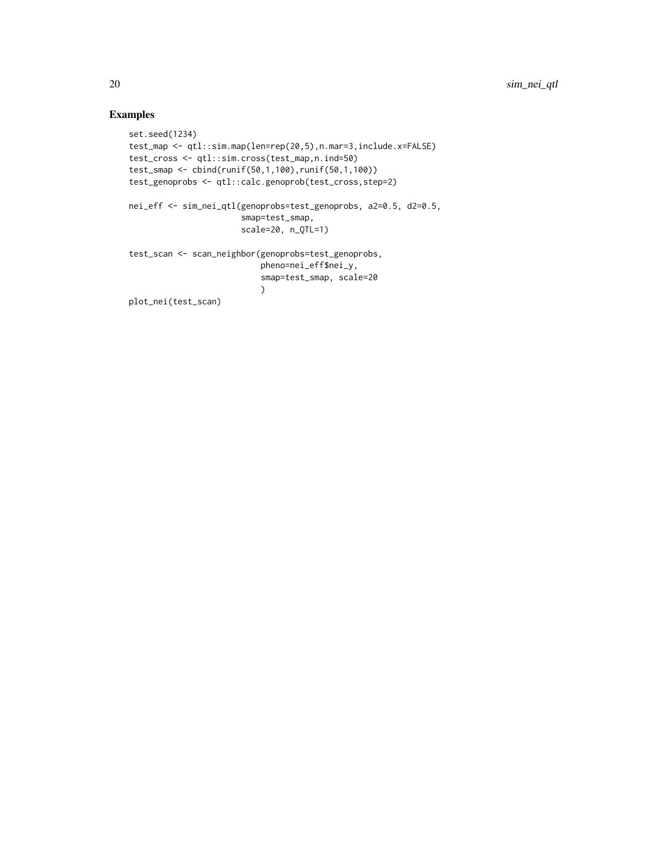# Examples

```
set.seed(1234)
test_map <- qtl::sim.map(len=rep(20,5),n.mar=3,include.x=FALSE)
test_cross <- qtl::sim.cross(test_map,n.ind=50)
test_smap <- cbind(runif(50,1,100),runif(50,1,100))
test_genoprobs <- qtl::calc.genoprob(test_cross,step=2)
nei_eff <- sim_nei_qtl(genoprobs=test_genoprobs, a2=0.5, d2=0.5,
                       smap=test_smap,
                       scale=20, n_QTL=1)
test_scan <- scan_neighbor(genoprobs=test_genoprobs,
                           pheno=nei_eff$nei_y,
                           smap=test_smap, scale=20
                           )
plot_nei(test_scan)
```